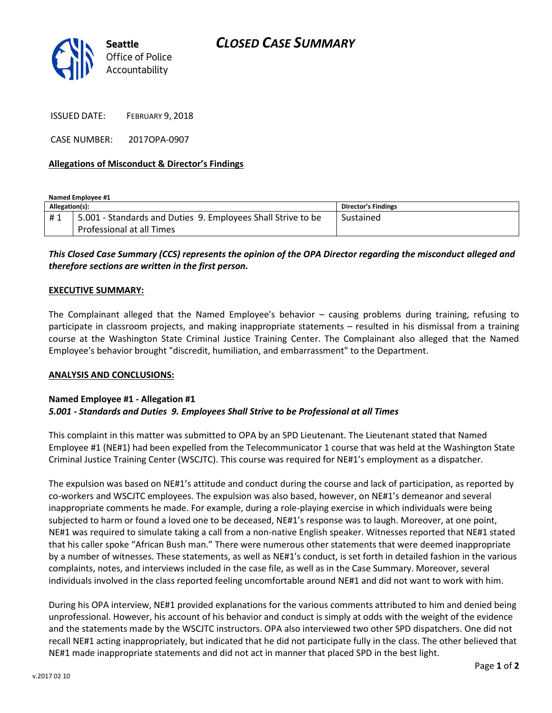

ISSUED DATE: FEBRUARY 9, 2018

CASE NUMBER: 2017OPA-0907

## **Allegations of Misconduct & Director's Findings**

**Named Employee #1 Allegation(s): Director's Findings** # 1 | 5.001 - Standards and Duties 9. Employees Shall Strive to be Professional at all Times Sustained

# *This Closed Case Summary (CCS) represents the opinion of the OPA Director regarding the misconduct alleged and therefore sections are written in the first person.*

### **EXECUTIVE SUMMARY:**

The Complainant alleged that the Named Employee's behavior – causing problems during training, refusing to participate in classroom projects, and making inappropriate statements – resulted in his dismissal from a training course at the Washington State Criminal Justice Training Center. The Complainant also alleged that the Named Employee's behavior brought "discredit, humiliation, and embarrassment" to the Department.

#### **ANALYSIS AND CONCLUSIONS:**

# **Named Employee #1 - Allegation #1** *5.001 - Standards and Duties 9. Employees Shall Strive to be Professional at all Times*

This complaint in this matter was submitted to OPA by an SPD Lieutenant. The Lieutenant stated that Named Employee #1 (NE#1) had been expelled from the Telecommunicator 1 course that was held at the Washington State Criminal Justice Training Center (WSCJTC). This course was required for NE#1's employment as a dispatcher.

The expulsion was based on NE#1's attitude and conduct during the course and lack of participation, as reported by co-workers and WSCJTC employees. The expulsion was also based, however, on NE#1's demeanor and several inappropriate comments he made. For example, during a role-playing exercise in which individuals were being subjected to harm or found a loved one to be deceased, NE#1's response was to laugh. Moreover, at one point, NE#1 was required to simulate taking a call from a non-native English speaker. Witnesses reported that NE#1 stated that his caller spoke "African Bush man." There were numerous other statements that were deemed inappropriate by a number of witnesses. These statements, as well as NE#1's conduct, is set forth in detailed fashion in the various complaints, notes, and interviews included in the case file, as well as in the Case Summary. Moreover, several individuals involved in the class reported feeling uncomfortable around NE#1 and did not want to work with him.

During his OPA interview, NE#1 provided explanations for the various comments attributed to him and denied being unprofessional. However, his account of his behavior and conduct is simply at odds with the weight of the evidence and the statements made by the WSCJTC instructors. OPA also interviewed two other SPD dispatchers. One did not recall NE#1 acting inappropriately, but indicated that he did not participate fully in the class. The other believed that NE#1 made inappropriate statements and did not act in manner that placed SPD in the best light.